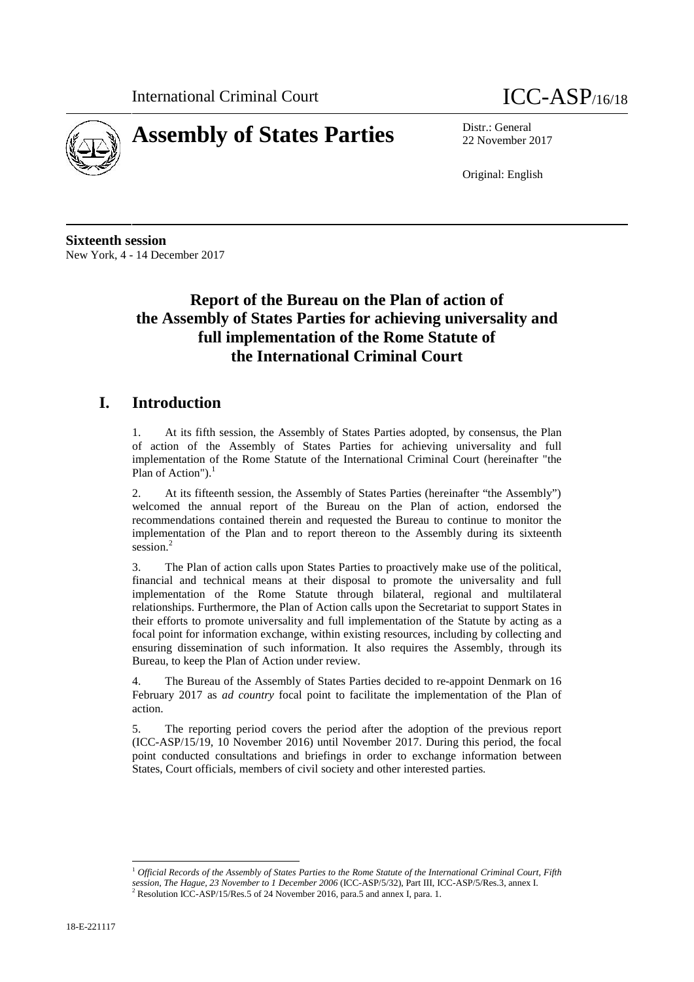



22 November 2017

Original: English

**Sixteenth session** New York, 4 - 14 December 2017

# **Report of the Bureau on the Plan of action of the Assembly of States Parties for achieving universality and full implementation of the Rome Statute of the International Criminal Court**

# **I. Introduction**

1. At its fifth session, the Assembly of States Parties adopted, by consensus, the Plan of action of the Assembly of States Parties for achieving universality and full implementation of the Rome Statute of the International Criminal Court (hereinafter "the Plan of Action").<sup>1</sup>

2. At its fifteenth session, the Assembly of States Parties (hereinafter "the Assembly") welcomed the annual report of the Bureau on the Plan of action, endorsed the recommendations contained therein and requested the Bureau to continue to monitor the implementation of the Plan and to report thereon to the Assembly during its sixteenth session.<sup>2</sup>

3. The Plan of action calls upon States Parties to proactively make use of the political, financial and technical means at their disposal to promote the universality and full implementation of the Rome Statute through bilateral, regional and multilateral relationships. Furthermore, the Plan of Action calls upon the Secretariat to support States in their efforts to promote universality and full implementation of the Statute by acting as a focal point for information exchange, within existing resources, including by collecting and ensuring dissemination of such information. It also requires the Assembly, through its Bureau, to keep the Plan of Action under review.

4. The Bureau of the Assembly of States Parties decided to re-appoint Denmark on 16 February 2017 as *ad country* focal point to facilitate the implementation of the Plan of action.

5. The reporting period covers the period after the adoption of the previous report (ICC-ASP/15/19, 10 November 2016) until November 2017. During this period, the focal point conducted consultations and briefings in order to exchange information between States, Court officials, members of civil society and other interested parties.

<sup>1</sup> *Official Records of the Assembly of States Parties to the Rome Statute of the International Criminal Court, Fifth session, The Hague, 23 November to 1 December 2006* (ICC-ASP/5/32), Part III, ICC-ASP/5/Res.3, annex I. <sup>2</sup> Resolution ICC-ASP/15/Res.5 of 24 November 2016, para.5 and annex I, para. 1.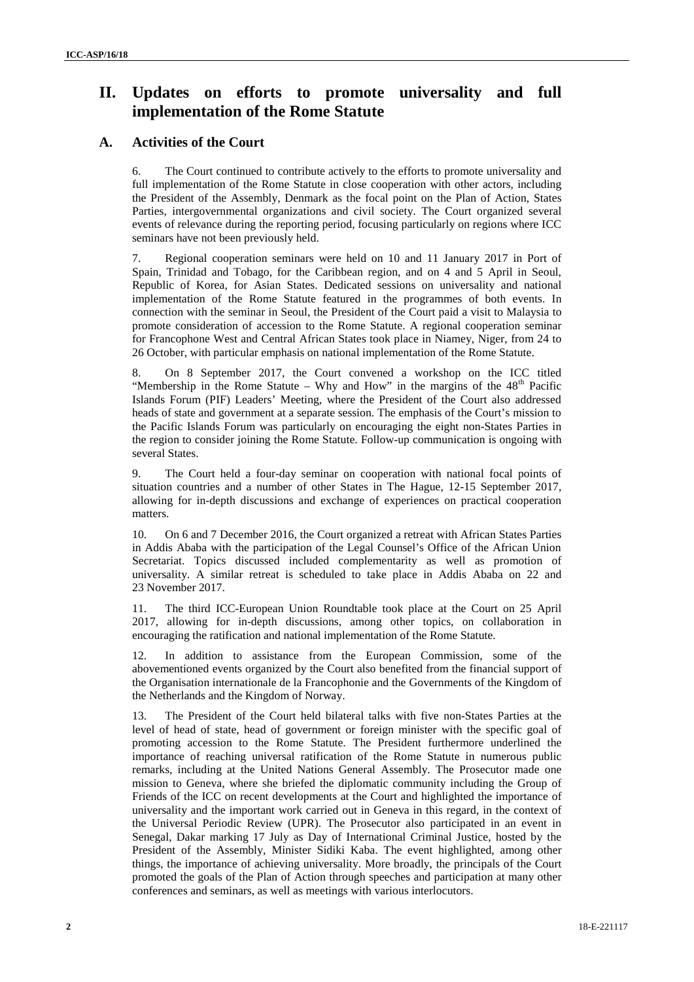# **II. Updates on efforts to promote universality and full implementation of the Rome Statute**

### **A. Activities of the Court**

6. The Court continued to contribute actively to the efforts to promote universality and full implementation of the Rome Statute in close cooperation with other actors, including the President of the Assembly, Denmark as the focal point on the Plan of Action, States Parties, intergovernmental organizations and civil society. The Court organized several events of relevance during the reporting period, focusing particularly on regions where ICC seminars have not been previously held.

7. Regional cooperation seminars were held on 10 and 11 January 2017 in Port of Spain, Trinidad and Tobago, for the Caribbean region, and on 4 and 5 April in Seoul, Republic of Korea, for Asian States. Dedicated sessions on universality and national implementation of the Rome Statute featured in the programmes of both events. In connection with the seminar in Seoul, the President of the Court paid a visit to Malaysia to promote consideration of accession to the Rome Statute. A regional cooperation seminar for Francophone West and Central African States took place in Niamey, Niger, from 24 to 26 October, with particular emphasis on national implementation of the Rome Statute.

8. On 8 September 2017, the Court convened a workshop on the ICC titled "Membership in the Rome Statute – Why and How" in the margins of the  $48<sup>th</sup>$  Pacific Islands Forum (PIF) Leaders' Meeting, where the President of the Court also addressed heads of state and government at a separate session. The emphasis of the Court's mission to the Pacific Islands Forum was particularly on encouraging the eight non-States Parties in the region to consider joining the Rome Statute. Follow-up communication is ongoing with several States.

9. The Court held a four-day seminar on cooperation with national focal points of situation countries and a number of other States in The Hague, 12-15 September 2017, allowing for in-depth discussions and exchange of experiences on practical cooperation matters.

10. On 6 and 7 December 2016, the Court organized a retreat with African States Parties in Addis Ababa with the participation of the Legal Counsel's Office of the African Union Secretariat. Topics discussed included complementarity as well as promotion of universality. A similar retreat is scheduled to take place in Addis Ababa on 22 and 23 November 2017.

11. The third ICC-European Union Roundtable took place at the Court on 25 April 2017, allowing for in-depth discussions, among other topics, on collaboration in encouraging the ratification and national implementation of the Rome Statute.

12. In addition to assistance from the European Commission, some of the abovementioned events organized by the Court also benefited from the financial support of the Organisation internationale de la Francophonie and the Governments of the Kingdom of the Netherlands and the Kingdom of Norway.

13. The President of the Court held bilateral talks with five non-States Parties at the level of head of state, head of government or foreign minister with the specific goal of promoting accession to the Rome Statute. The President furthermore underlined the importance of reaching universal ratification of the Rome Statute in numerous public remarks, including at the United Nations General Assembly. The Prosecutor made one mission to Geneva, where she briefed the diplomatic community including the Group of Friends of the ICC on recent developments at the Court and highlighted the importance of universality and the important work carried outin Geneva in this regard, in the context of the Universal Periodic Review (UPR). The Prosecutor also participated in an event in Senegal, Dakar marking 17 July as Day of International Criminal Justice, hosted by the President of the Assembly, Minister Sidiki Kaba. The event highlighted, among other things, the importance of achieving universality. More broadly, the principals of the Court promoted the goals of the Plan of Action through speeches and participation at many other conferences and seminars, as well as meetings with various interlocutors.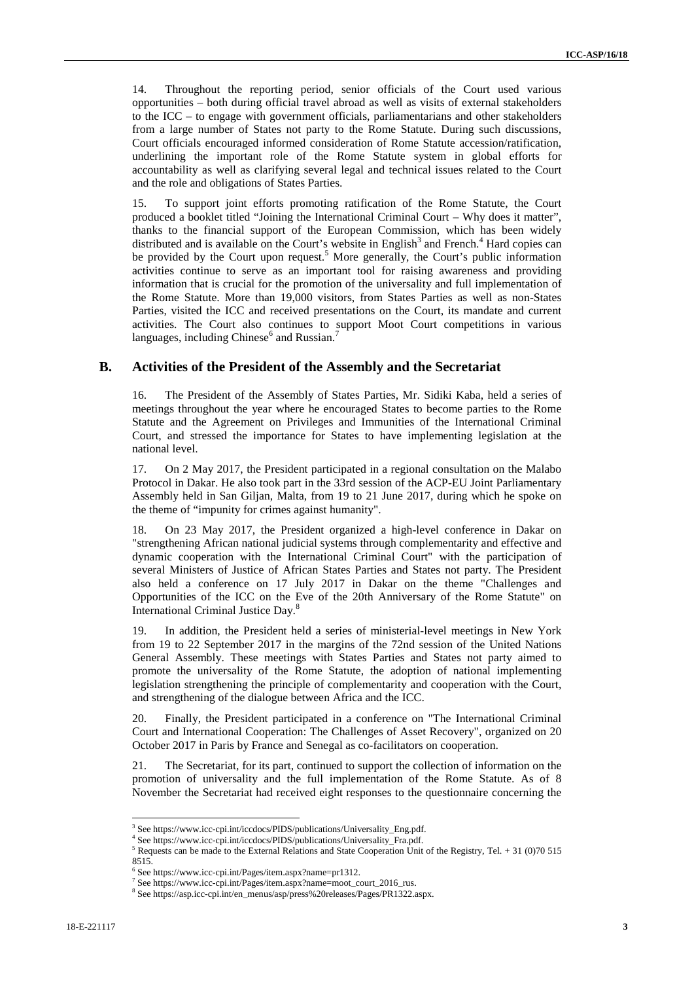14. Throughout the reporting period, senior officials of the Court used various opportunities – both during official travel abroad as well as visits of external stakeholders to the ICC – to engage with government officials, parliamentarians and other stakeholders from a large number of States not party to the Rome Statute. During such discussions, Court officials encouraged informed consideration of Rome Statute accession/ratification, underlining the important role of the Rome Statute system in global efforts for accountability as well as clarifying several legal and technical issues related to the Court and the role and obligations of States Parties.

15. To support joint efforts promoting ratification of the Rome Statute, the Court produced a booklet titled "Joining the International Criminal Court – Why does it matter", thanks to the financial support of the European Commission, which has been widely distributed and is available on the Court's website in English<sup>3</sup> and French.<sup>4</sup> Hard copies can be provided by the Court upon request.<sup>5</sup> More generally, the Court's public information activities continue to serve as an important tool for raising awareness and providing information that is crucial for the promotion of the universality and full implementation of the Rome Statute. More than 19,000 visitors, from States Parties as well as non-States Parties, visited the ICC and received presentations on the Court, its mandate and current activities. The Court also continues to support Moot Court competitions in various languages, including Chinese<sup>6</sup> and Russian.<sup>7</sup>

#### **B. Activities of the President of the Assembly and the Secretariat**

16. The President of the Assembly of States Parties, Mr. Sidiki Kaba, held a series of meetings throughout the year where he encouraged States to become parties to the Rome Statute and the Agreement on Privileges and Immunities of the International Criminal Court, and stressed the importance for States to have implementing legislation at the national level.

17. On 2 May 2017, the President participated in a regional consultation on the Malabo Protocol in Dakar. He also took part in the 33rd session of the ACP-EU Joint Parliamentary Assembly held in San Giljan, Malta, from 19 to 21 June 2017, during which he spoke on the theme of "impunity for crimes against humanity".

18. On 23 May 2017, the President organized a high-level conference in Dakar on "strengthening African national judicial systems through complementarity and effective and dynamic cooperation with the International Criminal Court" with the participation of several Ministers of Justice of African States Parties and States not party. The President also held a conference on 17 July 2017 in Dakar on the theme "Challenges and Opportunities of the ICC on the Eve of the 20th Anniversary of the Rome Statute" on International Criminal Justice Day.<sup>8</sup>

19. In addition, the President held a series of ministerial-level meetings in New York from 19 to 22 September 2017 in the margins of the 72nd session of the United Nations General Assembly. These meetings with States Parties and States not party aimed to promote the universality of the Rome Statute, the adoption of national implementing legislation strengthening the principle of complementarity and cooperation with the Court, and strengthening of the dialogue between Africa and the ICC.

20. Finally, the President participated in a conference on "The International Criminal Court and International Cooperation: The Challenges of Asset Recovery", organized on 20 October 2017 in Paris by France and Senegal as co-facilitators on cooperation.

21. The Secretariat, for its part, continued to support the collection of information on the promotion of universality and the full implementation of the Rome Statute. As of 8 November the Secretariat had received eight responses to the questionnaire concerning the

<sup>&</sup>lt;sup>3</sup> See https://www.icc-cpi.int/iccdocs/PIDS/publications/Universality\_Eng.pdf.

<sup>4</sup> See https://www.icc-cpi.int/iccdocs/PIDS/publications/Universality\_Fra.pdf.

<sup>5</sup> Requests can be made to the External Relations and State Cooperation Unit of the Registry, Tel. + 31 (0)70 515 8515.

<sup>&</sup>lt;sup>6</sup> See https://www.icc-cpi.int/Pages/item.aspx?name=pr1312.<br><sup>7</sup> See https://www.icc-cpi.int/Pages/item.aspx?name=moot\_court\_2016\_rus.

<sup>&</sup>lt;sup>8</sup> See https://asp.icc-cpi.int/en\_menus/asp/press%20releases/Pages/PR1322.aspx.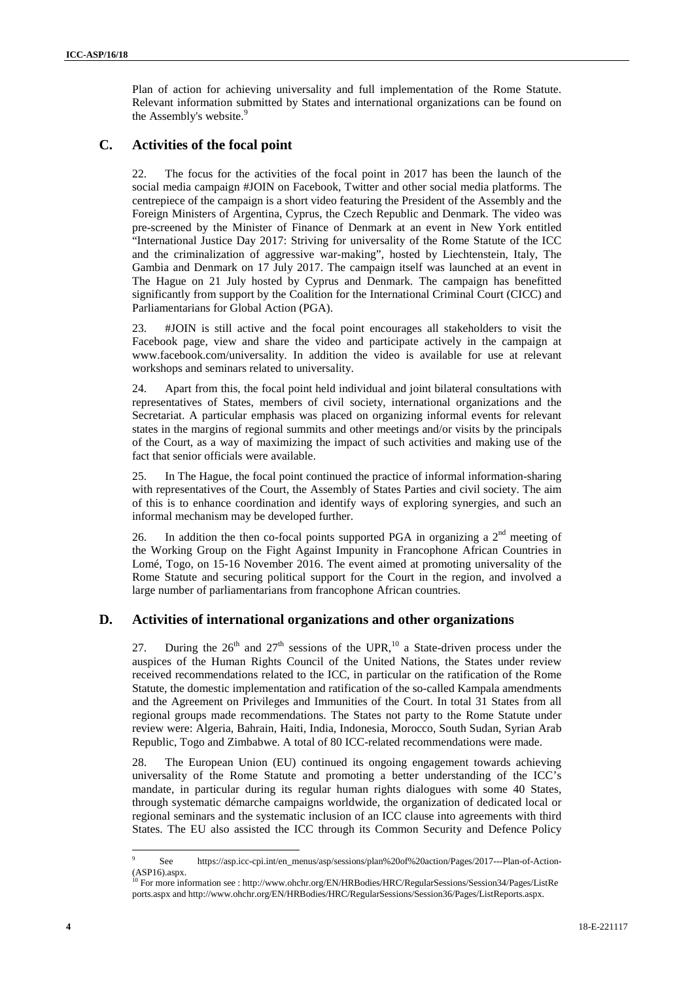Plan of action for achieving universality and full implementation of the Rome Statute. Relevant information submitted by States and international organizations can be found on the Assembly's website.<sup>9</sup>

### **C. Activities of the focal point**

The focus for the activities of the focal point in 2017 has been the launch of the social media campaign #JOIN on Facebook, Twitter and other social media platforms. The centrepiece of the campaign is a short video featuring the President of the Assembly and the Foreign Ministers of Argentina, Cyprus, the Czech Republic and Denmark. The video was pre-screened by the Minister of Finance of Denmark at an event in New York entitled "International Justice Day 2017: Striving for universality of the Rome Statute of the ICC and the criminalization of aggressive war-making", hosted by Liechtenstein, Italy, The Gambia and Denmark on 17 July 2017. The campaign itself was launched at an event in The Hague on 21 July hosted by Cyprus and Denmark. The campaign has benefitted significantly from support by the Coalition for the International Criminal Court (CICC) and Parliamentarians for Global Action (PGA).

23. #JOIN is still active and the focal point encourages all stakeholders to visit the Facebook page, view and share the video and participate actively in the campaign at www.facebook.com/universality. In addition the video is available for use at relevant workshops and seminars related to universality.

24. Apart from this, the focal point held individual and joint bilateral consultations with representatives of States, members of civil society, international organizations and the Secretariat. A particular emphasis was placed on organizing informal events for relevant states in the margins of regional summits and other meetings and/or visits by the principals of the Court, as a way of maximizing the impact of such activities and making use of the fact that senior officials were available.

25. In The Hague, the focal point continued the practice of informal information-sharing with representatives of the Court, the Assembly of States Parties and civil society. The aim of this is to enhance coordination and identify ways of exploring synergies, and such an informal mechanism may be developed further.

26. In addition the then co-focal points supported PGA in organizing a  $2<sup>nd</sup>$  meeting of the Working Group on the Fight Against Impunity in Francophone African Countries in Lomé, Togo, on 15-16 November 2016. The event aimed at promoting universality of the Rome Statute and securing political support for the Court in the region, and involved a large number of parliamentarians from francophone African countries.

### **D. Activities of international organizations and other organizations**

27. During the  $26<sup>th</sup>$  and  $27<sup>th</sup>$  sessions of the UPR,<sup>10</sup> a State-driven process under the auspices of the Human Rights Council of the United Nations, the States under review received recommendations related to the ICC, in particular on the ratification of the Rome Statute, the domestic implementation and ratification of the so-called Kampala amendments and the Agreement on Privileges and Immunities of the Court. In total 31 States from all regional groups made recommendations. The States not party to the Rome Statute under review were: Algeria, Bahrain, Haiti, India, Indonesia, Morocco, South Sudan, Syrian Arab Republic, Togo and Zimbabwe. A total of 80 ICC-related recommendations were made.

28. The European Union (EU) continued its ongoing engagement towards achieving universality of the Rome Statute and promoting a better understanding of the ICC's mandate, in particular during its regular human rights dialogues with some 40 States, through systematic démarche campaigns worldwide, the organization of dedicated local or regional seminars and the systematic inclusion of an ICC clause into agreements with third States. The EU also assisted the ICC through its Common Security and Defence Policy

<sup>9</sup> See https://asp.icc-cpi.int/en\_menus/asp/sessions/plan%20of%20action/Pages/2017---Plan-of-Action- (ASP16).aspx.

<sup>10</sup> For more information see : http://www.ohchr.org/EN/HRBodies/HRC/RegularSessions/Session34/Pages/ListRe ports.aspx and http://www.ohchr.org/EN/HRBodies/HRC/RegularSessions/Session36/Pages/ListReports.aspx.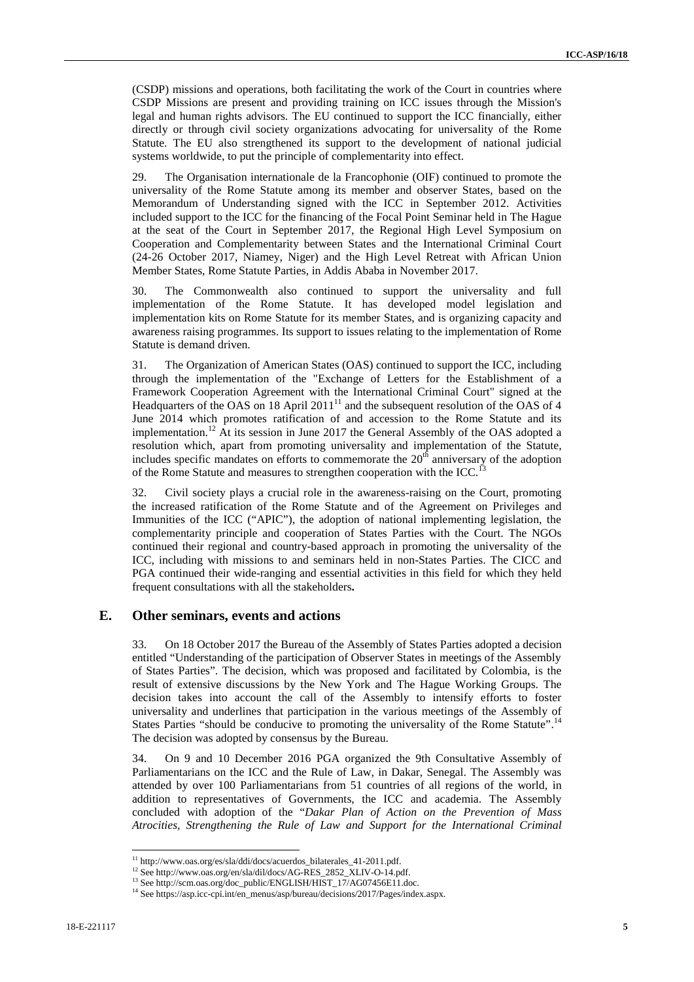(CSDP) missions and operations, both facilitating the work of the Court in countries where CSDP Missions are present and providing training on ICC issues through the Mission's legal and human rights advisors. The EU continued to support the ICC financially, either directly or through civil society organizations advocating for universality of the Rome Statute. The EU also strengthened its support to the development of national judicial systems worldwide, to put the principle of complementarity into effect.

29. The Organisation internationale de la Francophonie (OIF) continued to promote the universality of the Rome Statute among its member and observer States, based on the Memorandum of Understanding signed with the ICC in September 2012. Activities included support to the ICC for the financing of the Focal Point Seminar held in The Hague at the seat of the Court in September 2017, the Regional High Level Symposium on Cooperation and Complementarity between States and the International Criminal Court (24-26 October 2017, Niamey, Niger) and the High Level Retreat with African Union Member States, Rome Statute Parties, in Addis Ababa in November 2017.

30. The Commonwealth also continued to support the universality and full implementation of the Rome Statute. It has developed model legislation and implementation kits on Rome Statute for its member States, and is organizing capacity and awareness raising programmes. Its support to issues relating to the implementation of Rome Statute is demand driven.

31. The Organization of American States (OAS) continued to support the ICC, including through the implementation of the "Exchange of Letters for the Establishment of a Framework Cooperation Agreement with the International Criminal Court" signed at the Headquarters of the OAS on 18 April  $2011<sup>11</sup>$  and the subsequent resolution of the OAS of 4 June 2014 which promotes ratification of and accession to the Rome Statute and its implementation.<sup>12</sup> At its session in June 2017 the General Assembly of the OAS adopted a resolution which, apart from promoting universality and implementation of the Statute, includes specific mandates on efforts to commemorate the  $20<sup>th</sup>$  anniversary of the adoption of the Rome Statute and measures to strengthen cooperation with the ICC.<sup>1</sup>

32. Civil society plays a crucial role in the awareness-raising on the Court, promoting the increased ratification of the Rome Statute and of the Agreement on Privileges and Immunities of the ICC ("APIC"), the adoption of national implementing legislation, the complementarity principle and cooperation of States Parties with the Court. The NGOs continued their regional and country-based approach in promoting the universality of the ICC, including with missions to and seminars held in non-States Parties. The CICC and PGA continued their wide-ranging and essential activities in this field for which they held frequent consultations with all the stakeholders**.**

#### **E. Other seminars, events and actions**

33. On 18 October 2017 the Bureau of the Assembly of States Parties adopted a decision entitled "Understanding of the participation of Observer States in meetings of the Assembly of States Parties". The decision, which was proposed and facilitated by Colombia, is the result of extensive discussions by the New York and The Hague Working Groups. The decision takes into account the call of the Assembly to intensify efforts to foster universality and underlines that participation in the various meetings of the Assembly of States Parties "should be conducive to promoting the universality of the Rome Statute".<sup>14</sup> The decision was adopted by consensus by the Bureau.

34. On 9 and 10 December 2016 PGA organized the 9th Consultative Assembly of Parliamentarians on the ICC and the Rule of Law, in Dakar, Senegal. The Assembly was attended by over 100 Parliamentarians from 51 countries of all regions of the world, in addition to representatives of Governments, the ICC and academia. The Assembly concluded with adoption of the "*Dakar Plan of Action on the Prevention of Mass Atrocities, Strengthening the Rule of Law and Support for the International Criminal*

 $11$  http://www.oas.org/es/sla/ddi/docs/acuerdos\_bilaterales\_41-2011.pdf.

<sup>&</sup>lt;sup>12</sup> See http://www.oas.org/en/sla/dil/docs/AG-RES\_2852\_XLIV-O-14.pdf.<br><sup>13</sup> See http://scm.oas.org/doc\_public/ENGLISH/HIST\_17/AG07456E11.doc.

<sup>&</sup>lt;sup>14</sup> See https://asp.icc-cpi.int/en\_menus/asp/bureau/decisions/2017/Pages/index.aspx.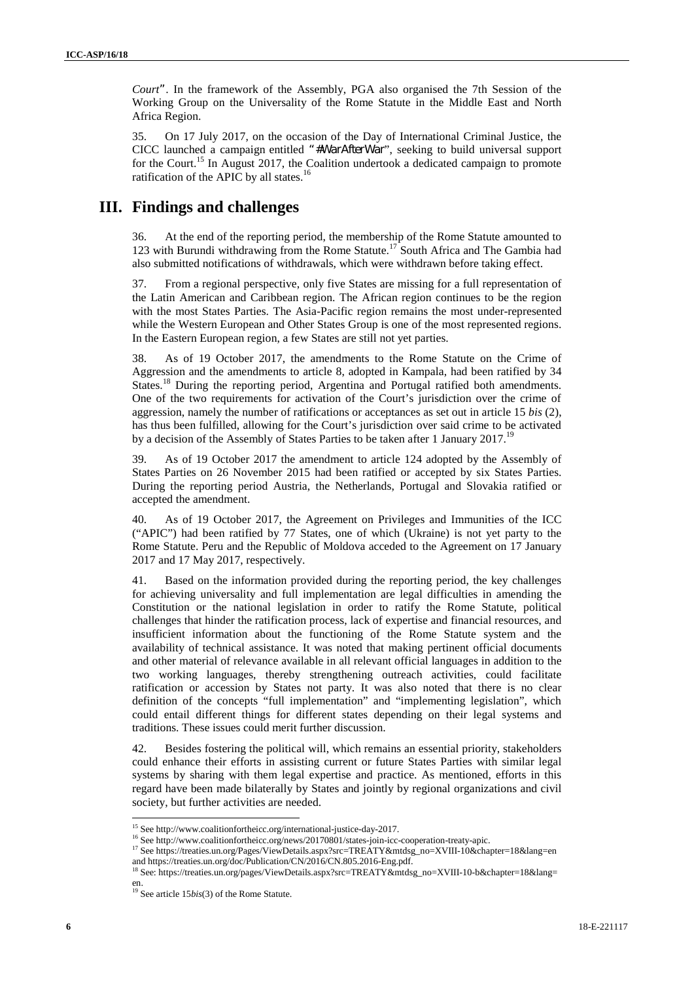*Court"*. In the framework of the Assembly, PGA also organised the 7th Session of the Working Group on the Universality of the Rome Statute in the Middle East and North Africa Region.

35. On 17 July 2017, on the occasion of the Day of International Criminal Justice, the CICC launched a campaign entitled *"#WarAfterWar*", seeking to build universal support for the Court.<sup>15</sup> In August 2017, the Coalition undertook a dedicated campaign to promote ratification of the APIC by all states.<sup>16</sup>

### **III. Findings and challenges**

36. At the end of the reporting period, the membership of the Rome Statute amounted to 123 with Burundi withdrawing from the Rome Statute.<sup>17</sup> South Africa and The Gambia had also submitted notifications of withdrawals, which were withdrawn before taking effect.

37. From a regional perspective, only five States are missing for a full representation of the Latin American and Caribbean region. The African region continues to be the region with the most States Parties. The Asia-Pacific region remains the most under-represented while the Western European and Other States Group is one of the most represented regions. In the Eastern European region, a few States are still not yet parties.

38. As of 19 October 2017, the amendments to the Rome Statute on the Crime of Aggression and the amendments to article 8, adopted in Kampala, had been ratified by 34 States.<sup>18</sup> During the reporting period, Argentina and Portugal ratified both amendments. One of the two requirements for activation of the Court's jurisdiction over the crime of aggression, namely the number of ratifications or acceptances as set out in article 15 *bis* (2), has thus been fulfilled, allowing for the Court's jurisdiction over said crime to be activated by a decision of the Assembly of States Parties to be taken after 1 January 2017.<sup>1</sup>

39. As of 19 October 2017 the amendment to article 124 adopted by the Assembly of States Parties on 26 November 2015 had been ratified or accepted by six States Parties. During the reporting period Austria, the Netherlands, Portugal and Slovakia ratified or accepted the amendment.

40. As of 19 October 2017, the Agreement on Privileges and Immunities of the ICC ("APIC") had been ratified by 77 States, one of which (Ukraine) is not yet party to the Rome Statute. Peru and the Republic of Moldova acceded to the Agreement on 17 January 2017 and 17 May 2017, respectively.

41. Based on the information provided during the reporting period, the key challenges for achieving universality and full implementation are legal difficulties in amending the Constitution or the national legislation in order to ratify the Rome Statute, political challenges that hinder the ratification process, lack of expertise and financial resources, and insufficient information about the functioning of the Rome Statute system and the availability of technical assistance. It was noted that making pertinent official documents and other material of relevance available in all relevant official languages in addition to the two working languages, thereby strengthening outreach activities, could facilitate ratification or accession by States not party. It was also noted that there is no clear definition of the concepts "full implementation" and "implementing legislation", which could entail different things for different states depending on their legal systems and traditions. These issues could merit further discussion.

42. Besides fostering the political will, which remains an essential priority, stakeholders could enhance their efforts in assisting current or future States Parties with similar legal systems by sharing with them legal expertise and practice. As mentioned, efforts in this regard have been made bilaterally by States and jointly by regional organizations and civil society, but further activities are needed.

<sup>15</sup> See http://www.coalitionfortheicc.org/international-justice-day-2017.

<sup>&</sup>lt;sup>16</sup> See http://www.coalitionfortheicc.org/news/20170801/states-join-icc-cooperation-treaty-apic.

<sup>17</sup> See https://treaties.un.org/Pages/ViewDetails.aspx?src=TREATY&mtdsg\_no=XVIII-10&chapter=18&lang=en and https://treaties.un.org/doc/Publication/CN/2016/CN.805.2016-Eng.pdf.

<sup>18</sup> See: https://treaties.un.org/pages/ViewDetails.aspx?src=TREATY&mtdsg\_no=XVIII-10-b&chapter=18&lang=

en. <sup>19</sup> See article 15*bis*(3) of the Rome Statute.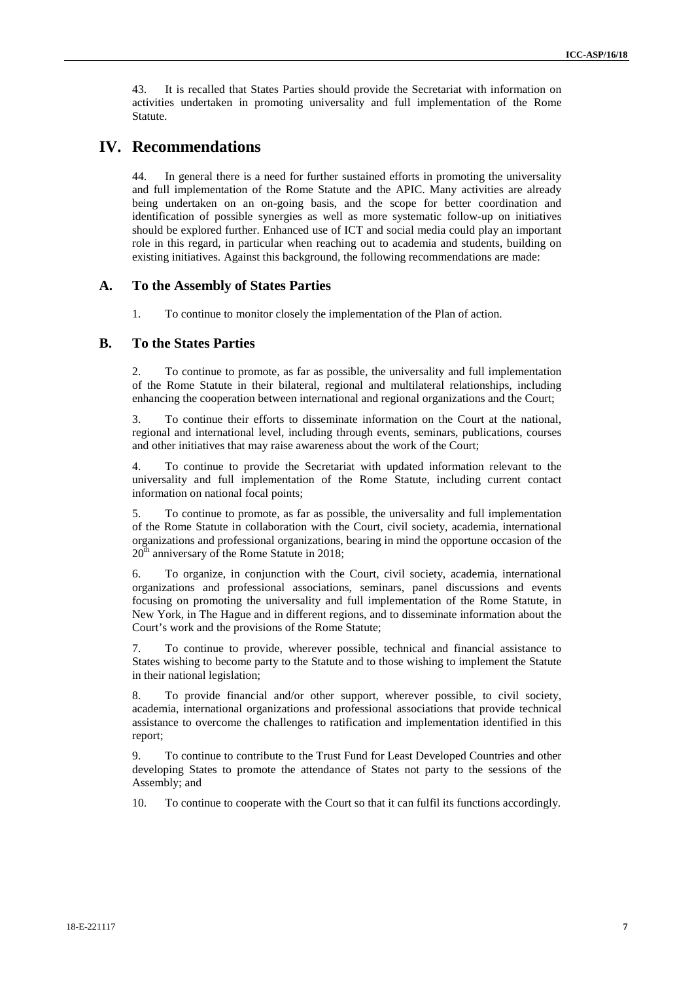43. It is recalled that States Parties should provide the Secretariat with information on activities undertaken in promoting universality and full implementation of the Rome Statute.

### **IV. Recommendations**

44. In general there is a need for further sustained efforts in promoting the universality and full implementation of the Rome Statute and the APIC. Many activities are already being undertaken on an on-going basis, and the scope for better coordination and identification of possible synergies as well as more systematic follow-up on initiatives should be explored further. Enhanced use of ICT and social media could play an important role in this regard, in particular when reaching out to academia and students, building on existing initiatives. Against this background, the following recommendations are made:

#### **A. To the Assembly of States Parties**

1. To continue to monitor closely the implementation of the Plan of action.

#### **B. To the States Parties**

2. To continue to promote, as far as possible, the universality and full implementation of the Rome Statute in their bilateral, regional and multilateral relationships, including enhancing the cooperation between international and regional organizations and the Court;

3. To continue their efforts to disseminate information on the Court at the national, regional and international level, including through events, seminars, publications, courses and other initiatives that may raise awareness about the work of the Court;

4. To continue to provide the Secretariat with updated information relevant to the universality and full implementation of the Rome Statute, including current contact information on national focal points;

5. To continue to promote, as far as possible, the universality and full implementation of the Rome Statute in collaboration with the Court, civil society, academia, international organizations and professional organizations, bearing in mind the opportune occasion of the  $20<sup>th</sup>$  anniversary of the Rome Statute in 2018;

6. To organize, in conjunction with the Court, civil society, academia, international organizations and professional associations, seminars, panel discussions and events focusing on promoting the universality and full implementation of the Rome Statute, in New York, in The Hague and in different regions, and to disseminate information about the Court's work and the provisions of the Rome Statute;

7. To continue to provide, wherever possible, technical and financial assistance to States wishing to become party to the Statute and to those wishing to implement the Statute in their national legislation;

8. To provide financial and/or other support, wherever possible, to civil society, academia, international organizations and professional associations that provide technical assistance to overcome the challenges to ratification and implementation identified in this report;

9. To continue to contribute to the Trust Fund for Least Developed Countries and other developing States to promote the attendance of States not party to the sessions of the Assembly; and

10. To continue to cooperate with the Court so that it can fulfil its functions accordingly.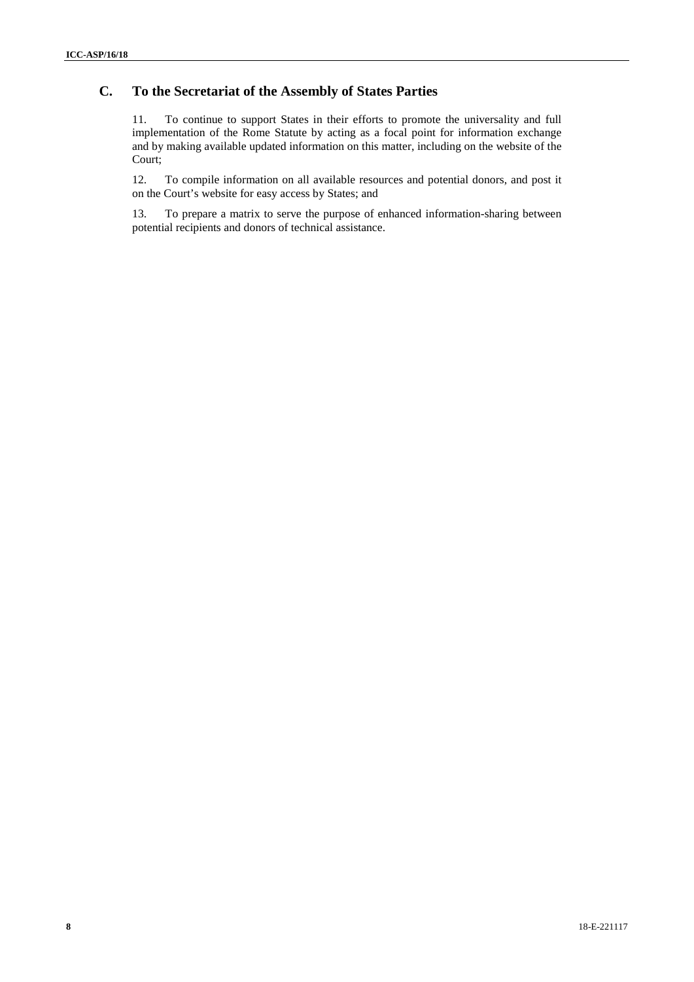## **C. To the Secretariat of the Assembly of States Parties**

11. To continue to support States in their efforts to promote the universality and full implementation of the Rome Statute by acting as a focal point for information exchange and by making available updated information on this matter, including on the website of the Court;

12. To compile information on all available resources and potential donors, and post it on the Court's website for easy access by States; and

13. To prepare a matrix to serve the purpose of enhanced information-sharing between potential recipients and donors of technical assistance.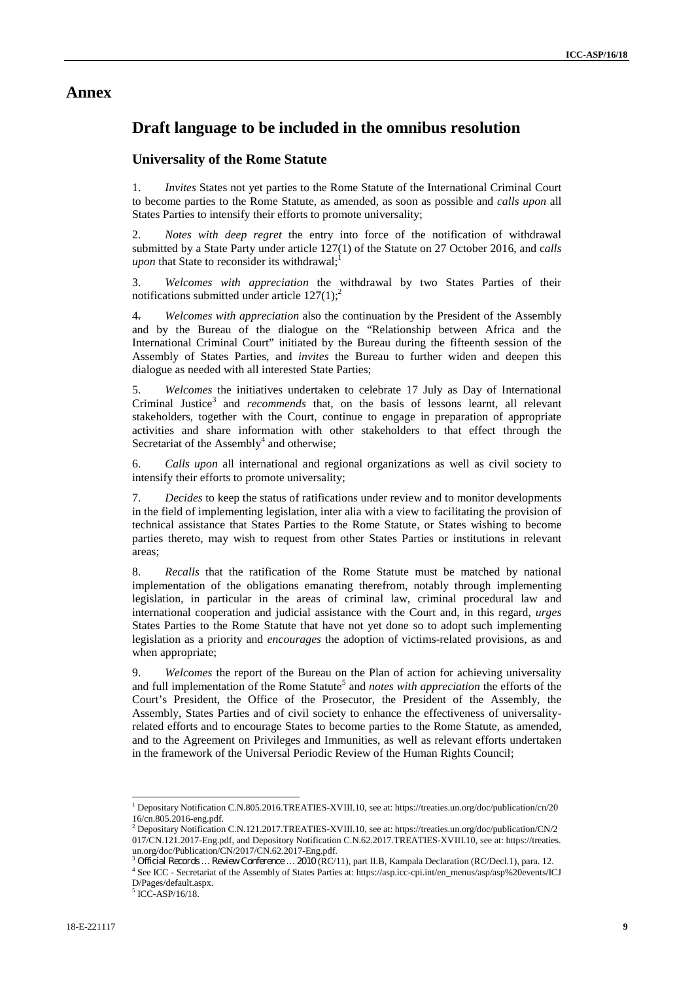### **Annex**

## **Draft language to be included in the omnibus resolution**

### **Universality of the Rome Statute**

1. *Invites* States not yet parties to the Rome Statute of the International Criminal Court to become parties to the Rome Statute, as amended, as soon as possible and *calls upon* all States Parties to intensify their efforts to promote universality;

2. *Notes with deep regret* the entry into force of the notification of withdrawal submitted by a State Party under article 127(1) of the Statute on 27 October 2016, and c*alls upon* that State to reconsider its withdrawal;

3. *Welcomes with appreciation* the withdrawal by two States Parties of their notifications submitted under article  $127(1)$ ;

4. *Welcomes with appreciation* also the continuation by the President of the Assembly and by the Bureau of the dialogue on the "Relationship between Africa and the International Criminal Court" initiated by the Bureau during the fifteenth session of the Assembly of States Parties, and *invites* the Bureau to further widen and deepen this dialogue as needed with all interested State Parties;

5. *Welcomes* the initiatives undertaken to celebrate 17 July as Day of International Criminal Justice<sup>3</sup> and *recommends* that, on the basis of lessons learnt, all relevant stakeholders, together with the Court, continue to engage in preparation of appropriate activities and share information with other stakeholders to that effect through the Secretariat of the Assembly<sup>4</sup> and otherwise;

6. *Calls upon* all international and regional organizations as well as civil society to intensify their efforts to promote universality;

7. *Decides* to keep the status of ratifications under review and to monitor developments in the field of implementing legislation, inter alia with a view to facilitating the provision of technical assistance that States Parties to the Rome Statute, or States wishing to become parties thereto, may wish to request from other States Parties or institutions in relevant areas;

8. *Recalls* that the ratification of the Rome Statute must be matched by national implementation of the obligations emanating therefrom, notably through implementing legislation, in particular in the areas of criminal law, criminal procedural law and international cooperation and judicial assistance with the Court and, in this regard, *urges* States Parties to the Rome Statute that have not yet done so to adopt such implementing legislation as a priority and *encourages* the adoption of victims-related provisions, as and when appropriate;

9. *Welcomes* the report of the Bureau on the Plan of action for achieving universality and full implementation of the Rome Statute<sup>5</sup> and *notes with appreciation* the efforts of the Court's President, the Office of the Prosecutor, the President of the Assembly, the Assembly, States Parties and of civil society to enhance the effectiveness of universalityrelated efforts and to encourage States to become parties to the Rome Statute, as amended, and to the Agreement on Privileges and Immunities, as well as relevant efforts undertaken in the framework of the Universal Periodic Review of the Human Rights Council;

<sup>1</sup> Depositary Notification C.N.805.2016.TREATIES-XVIII.10, see at: https://treaties.un.org/doc/publication/cn/20 16/cn.805.2016-eng.pdf. <sup>2</sup> Depositary Notification C.N.121.2017.TREATIES-XVIII.10, see at: https://treaties.un.org/doc/publication/CN/2

<sup>017/</sup>CN.121.2017-Eng.pdf, and Depository Notification C.N.62.2017.TREATIES-XVIII.10, see at: https://treaties.<br>un.org/doc/Publication/CN/2017/CN.62.2017-Eng.pdf.

<sup>&</sup>lt;sup>3</sup> Official Records ... Review Conference ... 2010 (RC/11), part II.B, Kampala Declaration (RC/Decl.1), para. 12.<br><sup>4</sup> See ICC - Secretariat of the Assembly of States Parties at: https://asp.icc-cpi.int/en\_menus/asp/asp%2 D/Pages/default.aspx.<br><sup>5</sup> ICC-ASP/16/18.